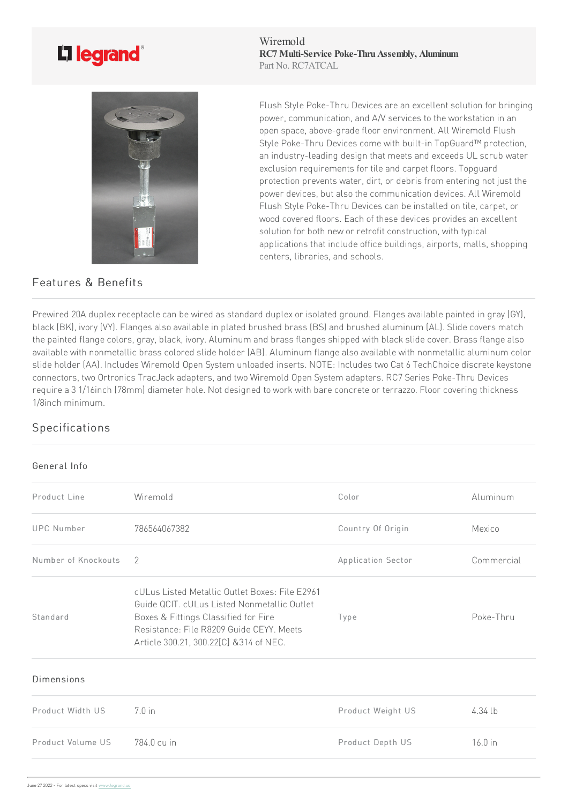## L'i legrand<sup>®</sup>



## Features & Benefits

Wiremold **RC7 Multi-Service Poke-Thru Assembly, Aluminum** Part No. RC7ATCAL

Flush Style Poke-Thru Devices are an excellent solution for bringing power, communication, and A/V services to the workstation in an open space, above-grade floor environment. All Wiremold Flush Style Poke-Thru Devices come with built-in TopGuard™ protection, an industry-leading design that meets and exceeds UL scrub water exclusion requirements for tile and carpet floors. Topguard protection prevents water, dirt, or debris from entering not just the power devices, but also the communication devices. All Wiremold Flush Style Poke-Thru Devices can be installed on tile, carpet, or wood covered floors. Each of these devices provides an excellent solution for both new or retrofit construction, with typical applications that include office buildings, airports, malls, shopping centers, libraries, and schools.

Prewired 20A duplex receptacle can be wired as standard duplex or isolated ground. Flanges available painted in gray (GY), black (BK), ivory (VY). Flanges also available in plated brushed brass (BS) and brushed aluminum (AL). Slide covers match the painted flange colors, gray, black, ivory. Aluminum and brass flanges shipped with black slide cover. Brass flange also available with nonmetallic brass colored slide holder (AB). Aluminum flange also available with nonmetallic aluminum color slide holder (AA). Includes Wiremold Open System unloaded inserts. NOTE: Includes two Cat 6 TechChoice discrete keystone connectors, two Ortronics TracJack adapters, and two Wiremold Open System adapters. RC7 Series Poke-Thru Devices require a 3 1/16inch (78mm) diameter hole. Not designed to work with bare concrete or terrazzo. Floor covering thickness 1/8inch minimum.

## Specifications

## General Info

| Product Line        | Wiremold                                                                                                                                                                                                                     | Color              | Aluminum   |
|---------------------|------------------------------------------------------------------------------------------------------------------------------------------------------------------------------------------------------------------------------|--------------------|------------|
| <b>UPC Number</b>   | 786564067382                                                                                                                                                                                                                 | Country Of Origin  | Mexico     |
| Number of Knockouts | 2                                                                                                                                                                                                                            | Application Sector | Commercial |
| Standard            | cULus Listed Metallic Outlet Boxes: File E2961<br>Guide QCIT. cULus Listed Nonmetallic Outlet<br>Boxes & Fittings Classified for Fire<br>Resistance: File R8209 Guide CEYY. Meets<br>Article 300.21, 300.22[C] & 314 of NEC. | Type               | Poke-Thru  |
| <b>Dimensions</b>   |                                                                                                                                                                                                                              |                    |            |
| Product Width US    | 70in                                                                                                                                                                                                                         | Product Weight US  | 4.34 lb    |
| Product Volume US   | 784.0 cu in                                                                                                                                                                                                                  | Product Depth US   | 16.0 in    |
|                     |                                                                                                                                                                                                                              |                    |            |